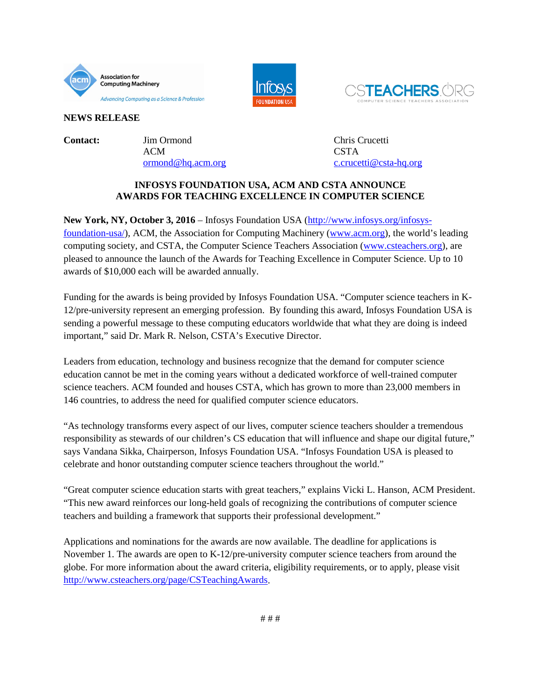





**NEWS RELEASE**

**Contact:** Jim Ormond Chris Crucetti ACM CSTA

[ormond@hq.acm.org](mailto:ormond@hq.acm.org) [c.crucetti@csta-hq.org](mailto:c.crucetti@csta-hq.org)

## **INFOSYS FOUNDATION USA, ACM AND CSTA ANNOUNCE AWARDS FOR TEACHING EXCELLENCE IN COMPUTER SCIENCE**

**New York, NY, October 3, 2016** – Infosys Foundation USA [\(http://www.infosys.org/infosys](http://www.infosys.org/infosys-foundation-usa/)[foundation-usa/\)](http://www.infosys.org/infosys-foundation-usa/), ACM, the Association for Computing Machinery [\(www.acm.org\)](http://www.acm.org/), the world's leading computing society, and CSTA, the Computer Science Teachers Association [\(www.csteachers.org\)](http://www.csteachers.org/), are pleased to announce the launch of the Awards for Teaching Excellence in Computer Science. Up to 10 awards of \$10,000 each will be awarded annually.

Funding for the awards is being provided by Infosys Foundation USA. "Computer science teachers in K-12/pre-university represent an emerging profession. By founding this award, Infosys Foundation USA is sending a powerful message to these computing educators worldwide that what they are doing is indeed important," said Dr. Mark R. Nelson, CSTA's Executive Director.

Leaders from education, technology and business recognize that the demand for computer science education cannot be met in the coming years without a dedicated workforce of well-trained computer science teachers. ACM founded and houses CSTA, which has grown to more than 23,000 members in 146 countries, to address the need for qualified computer science educators.

"As technology transforms every aspect of our lives, computer science teachers shoulder a tremendous responsibility as stewards of our children's CS education that will influence and shape our digital future," says Vandana Sikka, Chairperson, Infosys Foundation USA. "Infosys Foundation USA is pleased to celebrate and honor outstanding computer science teachers throughout the world."

"Great computer science education starts with great teachers," explains Vicki L. Hanson, ACM President. "This new award reinforces our long-held goals of recognizing the contributions of computer science teachers and building a framework that supports their professional development."

Applications and nominations for the awards are now available. The deadline for applications is November 1. The awards are open to K-12/pre-university computer science teachers from around the globe. For more information about the award criteria, eligibility requirements, or to apply, please visit [http://www.csteachers.org/page/CSTeachingAwards.](http://www.csteachers.org/page/CSTeachingAwards)